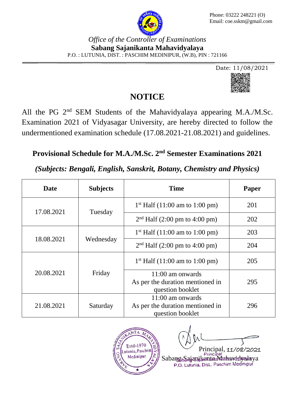

#### *Office of the Controller of Examinations* **Sabang Sajanikanta Mahavidyalaya** P.O. : LUTUNIA, DIST. : PASCHIM MEDINIPUR, (W.B), PIN : 721166



## **NOTICE**

All the PG 2<sup>nd</sup> SEM Students of the Mahavidyalaya appearing M.A./M.Sc. Examination 2021 of Vidyasagar University, are hereby directed to follow the undermentioned examination schedule (17.08.2021-21.08.2021) and guidelines.

# **Provisional Schedule for M.A./M.Sc. 2nd Semester Examinations 2021**

### *(Subjects: Bengali, English, Sanskrit, Botany, Chemistry and Physics)*

| <b>Date</b> | <b>Subjects</b> | Time                                                 | Paper |
|-------------|-----------------|------------------------------------------------------|-------|
| 17.08.2021  | Tuesday         | $1st$ Half (11:00 am to 1:00 pm)                     | 201   |
|             |                 | $2nd$ Half (2:00 pm to 4:00 pm)                      | 202   |
| 18.08.2021  | Wednesday       | $1st$ Half (11:00 am to 1:00 pm)                     | 203   |
|             |                 | $2nd$ Half (2:00 pm to 4:00 pm)                      | 204   |
| 20.08.2021  | Friday          | $1st$ Half (11:00 am to 1:00 pm)                     | 205   |
|             |                 | 11:00 am onwards                                     |       |
|             |                 | As per the duration mentioned in<br>question booklet | 295   |
| 21.08.2021  | Saturday        | $11:00$ am onwards                                   |       |
|             |                 | As per the duration mentioned in                     | 296   |
|             |                 | question booklet                                     |       |



Principal, 11/08/2021

Sabang Sajanjan Principal<br>P.O. Lutunia, Dist.. Paschim Medinipur